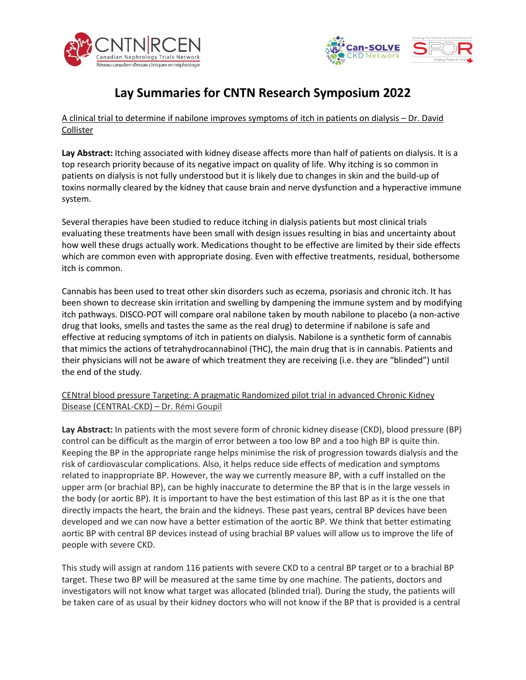



## **Lay Summaries for CNTN Research Symposium 2022**

A clinical trial to determine if nabilone improves symptoms of itch in patients on dialysis – Dr. David Collister

**Lay Abstract:** Itching associated with kidney disease affects more than half of patients on dialysis. It is a top research priority because of its negative impact on quality of life. Why itching is so common in patients on dialysis is not fully understood but it is likely due to changes in skin and the build-up of toxins normally cleared by the kidney that cause brain and nerve dysfunction and a hyperactive immune system.

Several therapies have been studied to reduce itching in dialysis patients but most clinical trials evaluating these treatments have been small with design issues resulting in bias and uncertainty about how well these drugs actually work. Medications thought to be effective are limited by their side effects which are common even with appropriate dosing. Even with effective treatments, residual, bothersome itch is common.

Cannabis has been used to treat other skin disorders such as eczema, psoriasis and chronic itch. It has been shown to decrease skin irritation and swelling by dampening the immune system and by modifying itch pathways. DISCO-POT will compare oral nabilone taken by mouth nabilone to placebo (a non-active drug that looks, smells and tastes the same as the real drug) to determine if nabilone is safe and effective at reducing symptoms of itch in patients on dialysis. Nabilone is a synthetic form of cannabis that mimics the actions of tetrahydrocannabinol (THC), the main drug that is in cannabis. Patients and their physicians will not be aware of which treatment they are receiving (i.e. they are "blinded") until the end of the study.

## CENtral blood pressure Targeting: A pragmatic Randomized pilot trial in advanced Chronic Kidney Disease (CENTRAL-CKD) – Dr. Rémi Goupil

**Lay Abstract:** In patients with the most severe form of chronic kidney disease (CKD), blood pressure (BP) control can be difficult as the margin of error between a too low BP and a too high BP is quite thin. Keeping the BP in the appropriate range helps minimise the risk of progression towards dialysis and the risk of cardiovascular complications. Also, it helps reduce side effects of medication and symptoms related to inappropriate BP. However, the way we currently measure BP, with a cuff installed on the upper arm (or brachial BP), can be highly inaccurate to determine the BP that is in the large vessels in the body (or aortic BP). It is important to have the best estimation of this last BP as it is the one that directly impacts the heart, the brain and the kidneys. These past years, central BP devices have been developed and we can now have a better estimation of the aortic BP. We think that better estimating aortic BP with central BP devices instead of using brachial BP values will allow us to improve the life of people with severe CKD.

This study will assign at random 116 patients with severe CKD to a central BP target or to a brachial BP target. These two BP will be measured at the same time by one machine. The patients, doctors and investigators will not know what target was allocated (blinded trial). During the study, the patients will be taken care of as usual by their kidney doctors who will not know if the BP that is provided is a central